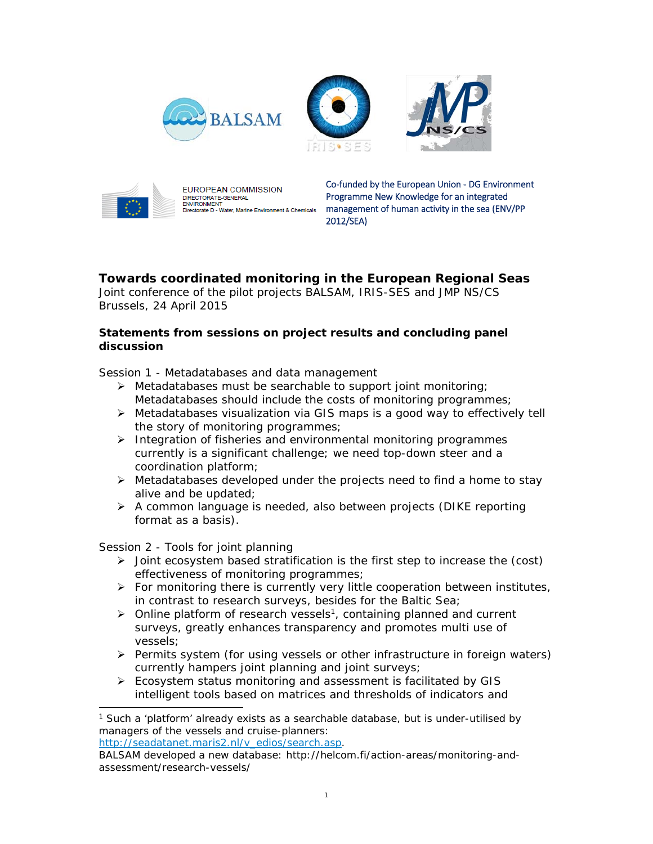







**EUROPEAN COMMISSION** DIRECTORATE-GENERAL **ENVIRONMENT** vate D - Water, Marine Environment & Chemicals

Co-funded by the European Union - DG Environment Programme New Knowledge for an integrated management of human activity in the sea (ENV/PP 2012/SEA)

# **Towards coordinated monitoring in the European Regional Seas**

Joint conference of the pilot projects BALSAM, IRIS-SES and JMP NS/CS Brussels, 24 April 2015

#### **Statements from sessions on project results and concluding panel discussion**

*Session 1 - Metadatabases and data management* 

- $\triangleright$  Metadatabases must be searchable to support joint monitoring; Metadatabases should include the costs of monitoring programmes;
- $\triangleright$  Metadatabases visualization via GIS maps is a good way to effectively tell the story of monitoring programmes;
- $\triangleright$  Integration of fisheries and environmental monitoring programmes currently is a significant challenge; we need top-down steer and a coordination platform;
- $\triangleright$  Metadatabases developed under the projects need to find a home to stay alive and be updated;
- $\triangleright$  A common language is needed, also between projects (DIKE reporting format as a basis).

## *Session 2 - Tools for joint planning*

1

- $\triangleright$  Joint ecosystem based stratification is the first step to increase the (cost) effectiveness of monitoring programmes;
- $\triangleright$  For monitoring there is currently very little cooperation between institutes, in contrast to research surveys, besides for the Baltic Sea;
- $\triangleright$  Online platform of research vessels<sup>1</sup>, containing planned and current surveys, greatly enhances transparency and promotes multi use of vessels;
- $\triangleright$  Permits system (for using vessels or other infrastructure in foreign waters) currently hampers joint planning and joint surveys;
- Ecosystem status monitoring and assessment is facilitated by GIS intelligent tools based on matrices and thresholds of indicators and

http://seadatanet.maris2.nl/v\_edios/search.asp.

<sup>&</sup>lt;sup>1</sup> Such a 'platform' already exists as a searchable database, but is under-utilised by managers of the vessels and cruise-planners:

BALSAM developed a new database: http://helcom.fi/action-areas/monitoring-andassessment/research-vessels/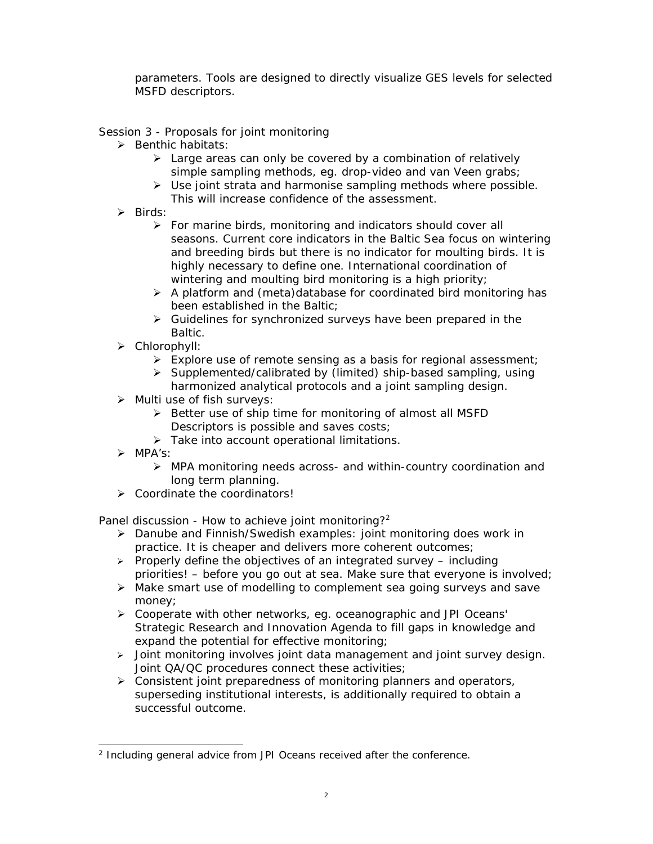parameters. Tools are designed to directly visualize GES levels for selected MSFD descriptors.

## *Session 3 - Proposals for joint monitoring*

- $\triangleright$  Benthic habitats:
	- $\triangleright$  Large areas can only be covered by a combination of relatively simple sampling methods, eg. drop-video and van Veen grabs;
	- $\triangleright$  Use joint strata and harmonise sampling methods where possible. This will increase confidence of the assessment.
- $\triangleright$  Birds:
	- $\triangleright$  For marine birds, monitoring and indicators should cover all seasons. Current core indicators in the Baltic Sea focus on wintering and breeding birds but there is no indicator for moulting birds. It is highly necessary to define one. International coordination of wintering and moulting bird monitoring is a high priority;
	- $\triangleright$  A platform and (meta)database for coordinated bird monitoring has been established in the Baltic;
	- $\triangleright$  Guidelines for synchronized surveys have been prepared in the **Baltic.**
- > Chlorophyll:
	- Explore use of remote sensing as a basis for regional assessment;
	- $\triangleright$  Supplemented/calibrated by (limited) ship-based sampling, using harmonized analytical protocols and a joint sampling design.
- $\triangleright$  Multi use of fish surveys:
	- $\triangleright$  Better use of ship time for monitoring of almost all MSFD Descriptors is possible and saves costs;
	- > Take into account operational limitations.
- > MPA's'
	- MPA monitoring needs across- and within-country coordination and long term planning.
- **▶ Coordinate the coordinators!**

## *Panel discussion - How to achieve joint monitoring?2*

- Danube and Finnish/Swedish examples: joint monitoring does work in practice. It is cheaper and delivers more coherent outcomes;
- $\triangleright$  Properly define the objectives of an integrated survey including priorities! – before you go out at sea. Make sure that everyone is involved;
- Make smart use of modelling to complement sea going surveys and save money;
- Cooperate with other networks, eg. oceanographic and JPI Oceans' Strategic Research and Innovation Agenda to fill gaps in knowledge and expand the potential for effective monitoring;
- $\geq$  Joint monitoring involves joint data management and joint survey design. Joint QA/QC procedures connect these activities;
- $\triangleright$  Consistent joint preparedness of monitoring planners and operators, superseding institutional interests, is additionally required to obtain a successful outcome.

l <sup>2</sup> *Including general advice from JPI Oceans received after the conference.*